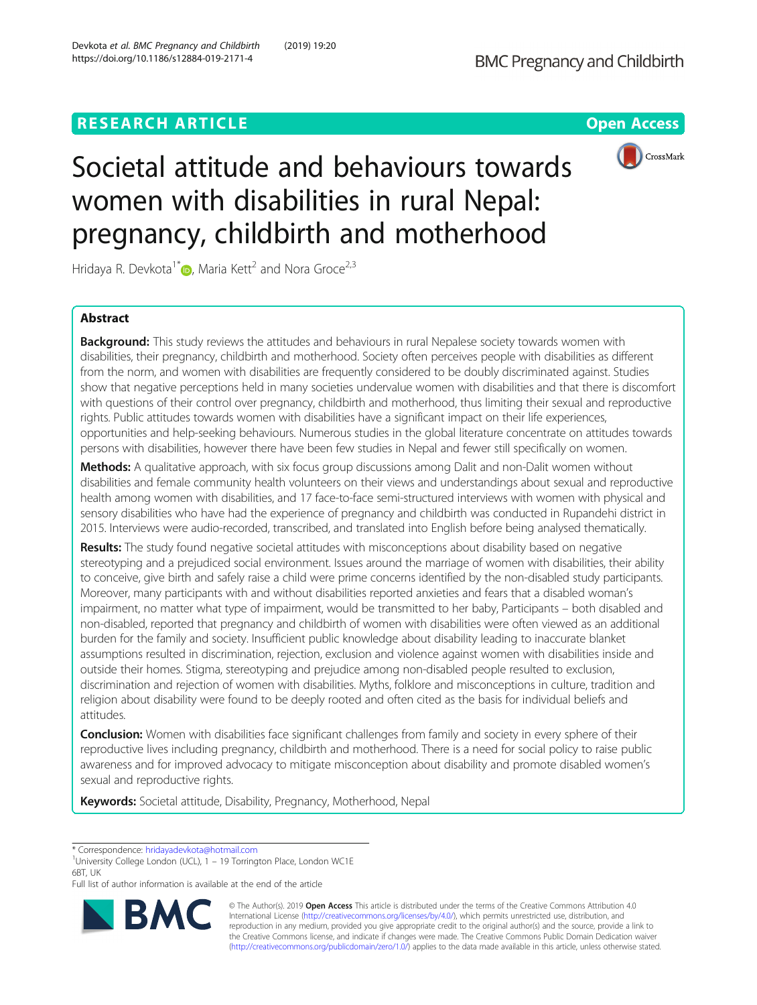## **RESEARCH ARTICLE Example 2018 12:30 THE OPEN Access**



# Societal attitude and behaviours towards women with disabilities in rural Nepal: pregnancy, childbirth and motherhood

Hridaya R. Devkota<sup>1[\\*](http://orcid.org/0000-0002-2892-5836)</sup> $\bullet$ , Maria Kett<sup>2</sup> and Nora Groce<sup>2,3</sup>

## Abstract

**Background:** This study reviews the attitudes and behaviours in rural Nepalese society towards women with disabilities, their pregnancy, childbirth and motherhood. Society often perceives people with disabilities as different from the norm, and women with disabilities are frequently considered to be doubly discriminated against. Studies show that negative perceptions held in many societies undervalue women with disabilities and that there is discomfort with questions of their control over pregnancy, childbirth and motherhood, thus limiting their sexual and reproductive rights. Public attitudes towards women with disabilities have a significant impact on their life experiences, opportunities and help-seeking behaviours. Numerous studies in the global literature concentrate on attitudes towards persons with disabilities, however there have been few studies in Nepal and fewer still specifically on women.

Methods: A qualitative approach, with six focus group discussions among Dalit and non-Dalit women without disabilities and female community health volunteers on their views and understandings about sexual and reproductive health among women with disabilities, and 17 face-to-face semi-structured interviews with women with physical and sensory disabilities who have had the experience of pregnancy and childbirth was conducted in Rupandehi district in 2015. Interviews were audio-recorded, transcribed, and translated into English before being analysed thematically.

Results: The study found negative societal attitudes with misconceptions about disability based on negative stereotyping and a prejudiced social environment. Issues around the marriage of women with disabilities, their ability to conceive, give birth and safely raise a child were prime concerns identified by the non-disabled study participants. Moreover, many participants with and without disabilities reported anxieties and fears that a disabled woman's impairment, no matter what type of impairment, would be transmitted to her baby, Participants – both disabled and non-disabled, reported that pregnancy and childbirth of women with disabilities were often viewed as an additional burden for the family and society. Insufficient public knowledge about disability leading to inaccurate blanket assumptions resulted in discrimination, rejection, exclusion and violence against women with disabilities inside and outside their homes. Stigma, stereotyping and prejudice among non-disabled people resulted to exclusion, discrimination and rejection of women with disabilities. Myths, folklore and misconceptions in culture, tradition and religion about disability were found to be deeply rooted and often cited as the basis for individual beliefs and attitudes.

Conclusion: Women with disabilities face significant challenges from family and society in every sphere of their reproductive lives including pregnancy, childbirth and motherhood. There is a need for social policy to raise public awareness and for improved advocacy to mitigate misconception about disability and promote disabled women's sexual and reproductive rights.

Keywords: Societal attitude, Disability, Pregnancy, Motherhood, Nepal

\* Correspondence: [hridayadevkota@hotmail.com](mailto:hridayadevkota@hotmail.com) <sup>1</sup>

<sup>1</sup>University College London (UCL), 1 - 19 Torrington Place, London WC1E 6BT, UK

Full list of author information is available at the end of the article



© The Author(s). 2019 **Open Access** This article is distributed under the terms of the Creative Commons Attribution 4.0 International License [\(http://creativecommons.org/licenses/by/4.0/](http://creativecommons.org/licenses/by/4.0/)), which permits unrestricted use, distribution, and reproduction in any medium, provided you give appropriate credit to the original author(s) and the source, provide a link to the Creative Commons license, and indicate if changes were made. The Creative Commons Public Domain Dedication waiver [\(http://creativecommons.org/publicdomain/zero/1.0/](http://creativecommons.org/publicdomain/zero/1.0/)) applies to the data made available in this article, unless otherwise stated.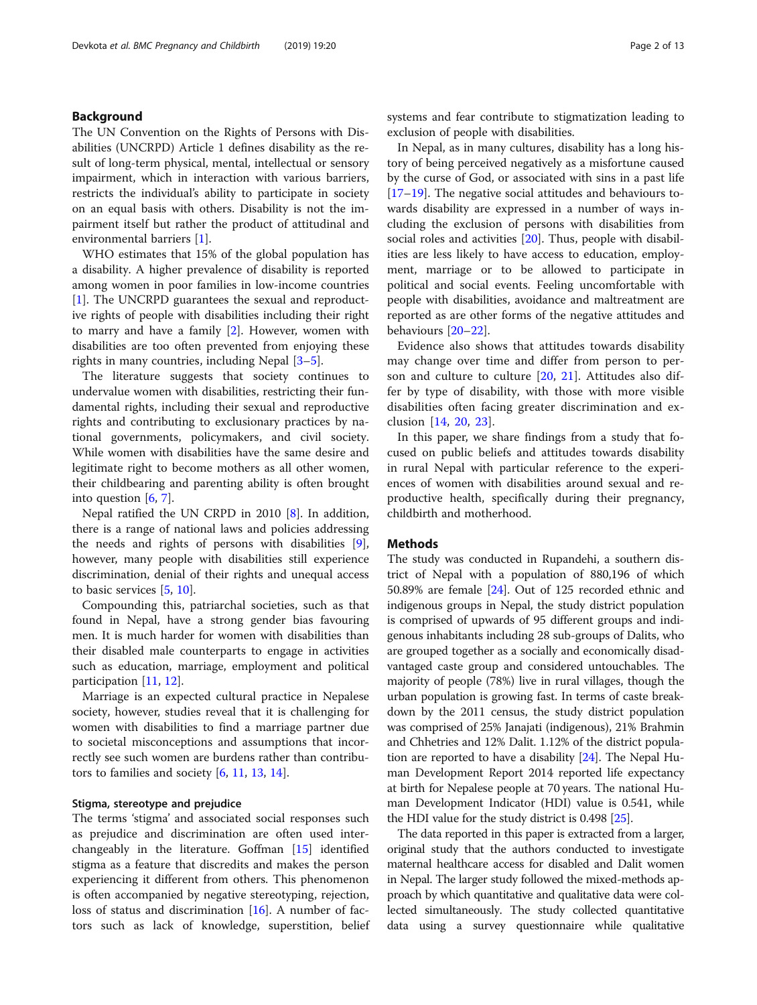## Background

The UN Convention on the Rights of Persons with Disabilities (UNCRPD) Article 1 defines disability as the result of long-term physical, mental, intellectual or sensory impairment, which in interaction with various barriers, restricts the individual's ability to participate in society on an equal basis with others. Disability is not the impairment itself but rather the product of attitudinal and environmental barriers [\[1](#page-11-0)].

WHO estimates that 15% of the global population has a disability. A higher prevalence of disability is reported among women in poor families in low-income countries [[1\]](#page-11-0). The UNCRPD guarantees the sexual and reproductive rights of people with disabilities including their right to marry and have a family [\[2](#page-11-0)]. However, women with disabilities are too often prevented from enjoying these rights in many countries, including Nepal [[3](#page-11-0)–[5](#page-11-0)].

The literature suggests that society continues to undervalue women with disabilities, restricting their fundamental rights, including their sexual and reproductive rights and contributing to exclusionary practices by national governments, policymakers, and civil society. While women with disabilities have the same desire and legitimate right to become mothers as all other women, their childbearing and parenting ability is often brought into question  $[6, 7]$  $[6, 7]$  $[6, 7]$  $[6, 7]$ .

Nepal ratified the UN CRPD in 2010 [\[8](#page-11-0)]. In addition, there is a range of national laws and policies addressing the needs and rights of persons with disabilities [\[9](#page-11-0)], however, many people with disabilities still experience discrimination, denial of their rights and unequal access to basic services [\[5](#page-11-0), [10\]](#page-11-0).

Compounding this, patriarchal societies, such as that found in Nepal, have a strong gender bias favouring men. It is much harder for women with disabilities than their disabled male counterparts to engage in activities such as education, marriage, employment and political participation [[11](#page-11-0), [12](#page-11-0)].

Marriage is an expected cultural practice in Nepalese society, however, studies reveal that it is challenging for women with disabilities to find a marriage partner due to societal misconceptions and assumptions that incorrectly see such women are burdens rather than contributors to families and society  $[6, 11, 13, 14]$  $[6, 11, 13, 14]$  $[6, 11, 13, 14]$  $[6, 11, 13, 14]$  $[6, 11, 13, 14]$  $[6, 11, 13, 14]$  $[6, 11, 13, 14]$  $[6, 11, 13, 14]$  $[6, 11, 13, 14]$ .

## Stigma, stereotype and prejudice

The terms 'stigma' and associated social responses such as prejudice and discrimination are often used interchangeably in the literature. Goffman [[15\]](#page-12-0) identified stigma as a feature that discredits and makes the person experiencing it different from others. This phenomenon is often accompanied by negative stereotyping, rejection, loss of status and discrimination  $[16]$  $[16]$ . A number of factors such as lack of knowledge, superstition, belief systems and fear contribute to stigmatization leading to exclusion of people with disabilities.

In Nepal, as in many cultures, disability has a long history of being perceived negatively as a misfortune caused by the curse of God, or associated with sins in a past life [[17](#page-12-0)–[19](#page-12-0)]. The negative social attitudes and behaviours towards disability are expressed in a number of ways including the exclusion of persons with disabilities from social roles and activities [\[20](#page-12-0)]. Thus, people with disabilities are less likely to have access to education, employment, marriage or to be allowed to participate in political and social events. Feeling uncomfortable with people with disabilities, avoidance and maltreatment are reported as are other forms of the negative attitudes and behaviours [[20](#page-12-0)–[22](#page-12-0)].

Evidence also shows that attitudes towards disability may change over time and differ from person to person and culture to culture [\[20](#page-12-0), [21\]](#page-12-0). Attitudes also differ by type of disability, with those with more visible disabilities often facing greater discrimination and exclusion [[14,](#page-12-0) [20,](#page-12-0) [23\]](#page-12-0).

In this paper, we share findings from a study that focused on public beliefs and attitudes towards disability in rural Nepal with particular reference to the experiences of women with disabilities around sexual and reproductive health, specifically during their pregnancy, childbirth and motherhood.

## **Methods**

The study was conducted in Rupandehi, a southern district of Nepal with a population of 880,196 of which 50.89% are female [\[24](#page-12-0)]. Out of 125 recorded ethnic and indigenous groups in Nepal, the study district population is comprised of upwards of 95 different groups and indigenous inhabitants including 28 sub-groups of Dalits, who are grouped together as a socially and economically disadvantaged caste group and considered untouchables. The majority of people (78%) live in rural villages, though the urban population is growing fast. In terms of caste breakdown by the 2011 census, the study district population was comprised of 25% Janajati (indigenous), 21% Brahmin and Chhetries and 12% Dalit. 1.12% of the district population are reported to have a disability [\[24](#page-12-0)]. The Nepal Human Development Report 2014 reported life expectancy at birth for Nepalese people at 70 years. The national Human Development Indicator (HDI) value is 0.541, while the HDI value for the study district is 0.498 [\[25](#page-12-0)].

The data reported in this paper is extracted from a larger, original study that the authors conducted to investigate maternal healthcare access for disabled and Dalit women in Nepal. The larger study followed the mixed-methods approach by which quantitative and qualitative data were collected simultaneously. The study collected quantitative data using a survey questionnaire while qualitative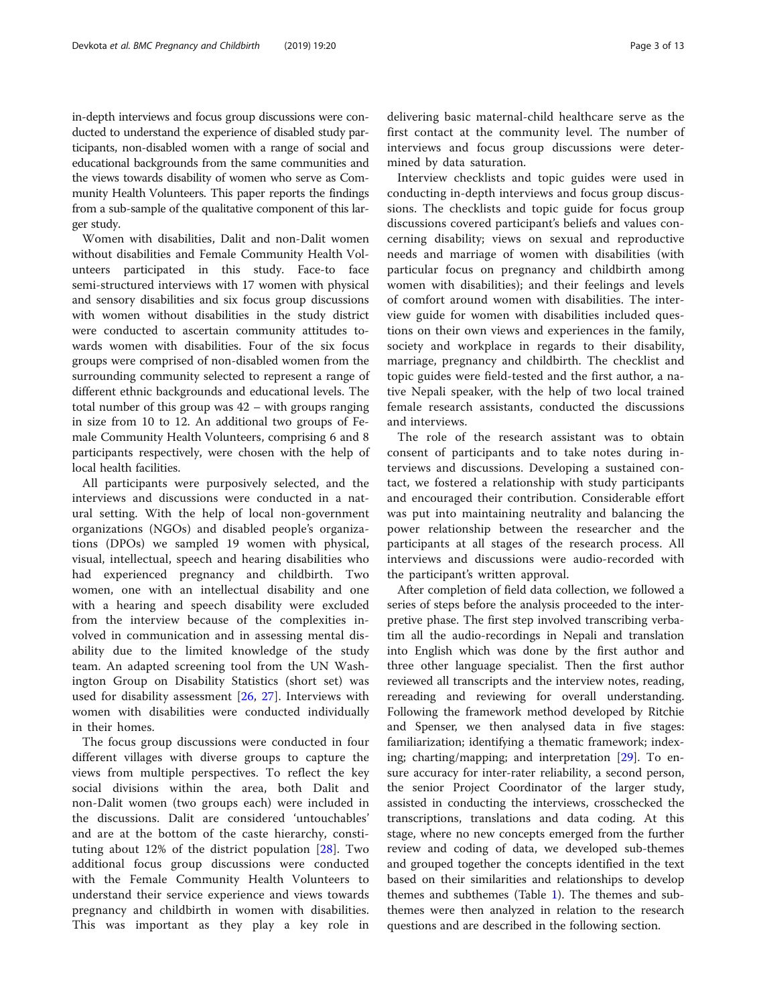in-depth interviews and focus group discussions were conducted to understand the experience of disabled study participants, non-disabled women with a range of social and educational backgrounds from the same communities and the views towards disability of women who serve as Community Health Volunteers. This paper reports the findings from a sub-sample of the qualitative component of this larger study.

Women with disabilities, Dalit and non-Dalit women without disabilities and Female Community Health Volunteers participated in this study. Face-to face semi-structured interviews with 17 women with physical and sensory disabilities and six focus group discussions with women without disabilities in the study district were conducted to ascertain community attitudes towards women with disabilities. Four of the six focus groups were comprised of non-disabled women from the surrounding community selected to represent a range of different ethnic backgrounds and educational levels. The total number of this group was 42 – with groups ranging in size from 10 to 12. An additional two groups of Female Community Health Volunteers, comprising 6 and 8 participants respectively, were chosen with the help of local health facilities.

All participants were purposively selected, and the interviews and discussions were conducted in a natural setting. With the help of local non-government organizations (NGOs) and disabled people's organizations (DPOs) we sampled 19 women with physical, visual, intellectual, speech and hearing disabilities who had experienced pregnancy and childbirth. Two women, one with an intellectual disability and one with a hearing and speech disability were excluded from the interview because of the complexities involved in communication and in assessing mental disability due to the limited knowledge of the study team. An adapted screening tool from the UN Washington Group on Disability Statistics (short set) was used for disability assessment [[26,](#page-12-0) [27\]](#page-12-0). Interviews with women with disabilities were conducted individually in their homes.

The focus group discussions were conducted in four different villages with diverse groups to capture the views from multiple perspectives. To reflect the key social divisions within the area, both Dalit and non-Dalit women (two groups each) were included in the discussions. Dalit are considered 'untouchables' and are at the bottom of the caste hierarchy, constituting about 12% of the district population [[28\]](#page-12-0). Two additional focus group discussions were conducted with the Female Community Health Volunteers to understand their service experience and views towards pregnancy and childbirth in women with disabilities. This was important as they play a key role in delivering basic maternal-child healthcare serve as the first contact at the community level. The number of interviews and focus group discussions were determined by data saturation.

Interview checklists and topic guides were used in conducting in-depth interviews and focus group discussions. The checklists and topic guide for focus group discussions covered participant's beliefs and values concerning disability; views on sexual and reproductive needs and marriage of women with disabilities (with particular focus on pregnancy and childbirth among women with disabilities); and their feelings and levels of comfort around women with disabilities. The interview guide for women with disabilities included questions on their own views and experiences in the family, society and workplace in regards to their disability, marriage, pregnancy and childbirth. The checklist and topic guides were field-tested and the first author, a native Nepali speaker, with the help of two local trained female research assistants, conducted the discussions and interviews.

The role of the research assistant was to obtain consent of participants and to take notes during interviews and discussions. Developing a sustained contact, we fostered a relationship with study participants and encouraged their contribution. Considerable effort was put into maintaining neutrality and balancing the power relationship between the researcher and the participants at all stages of the research process. All interviews and discussions were audio-recorded with the participant's written approval.

After completion of field data collection, we followed a series of steps before the analysis proceeded to the interpretive phase. The first step involved transcribing verbatim all the audio-recordings in Nepali and translation into English which was done by the first author and three other language specialist. Then the first author reviewed all transcripts and the interview notes, reading, rereading and reviewing for overall understanding. Following the framework method developed by Ritchie and Spenser, we then analysed data in five stages: familiarization; identifying a thematic framework; indexing; charting/mapping; and interpretation [[29](#page-12-0)]. To ensure accuracy for inter-rater reliability, a second person, the senior Project Coordinator of the larger study, assisted in conducting the interviews, crosschecked the transcriptions, translations and data coding. At this stage, where no new concepts emerged from the further review and coding of data, we developed sub-themes and grouped together the concepts identified in the text based on their similarities and relationships to develop themes and subthemes (Table [1\)](#page-3-0). The themes and subthemes were then analyzed in relation to the research questions and are described in the following section.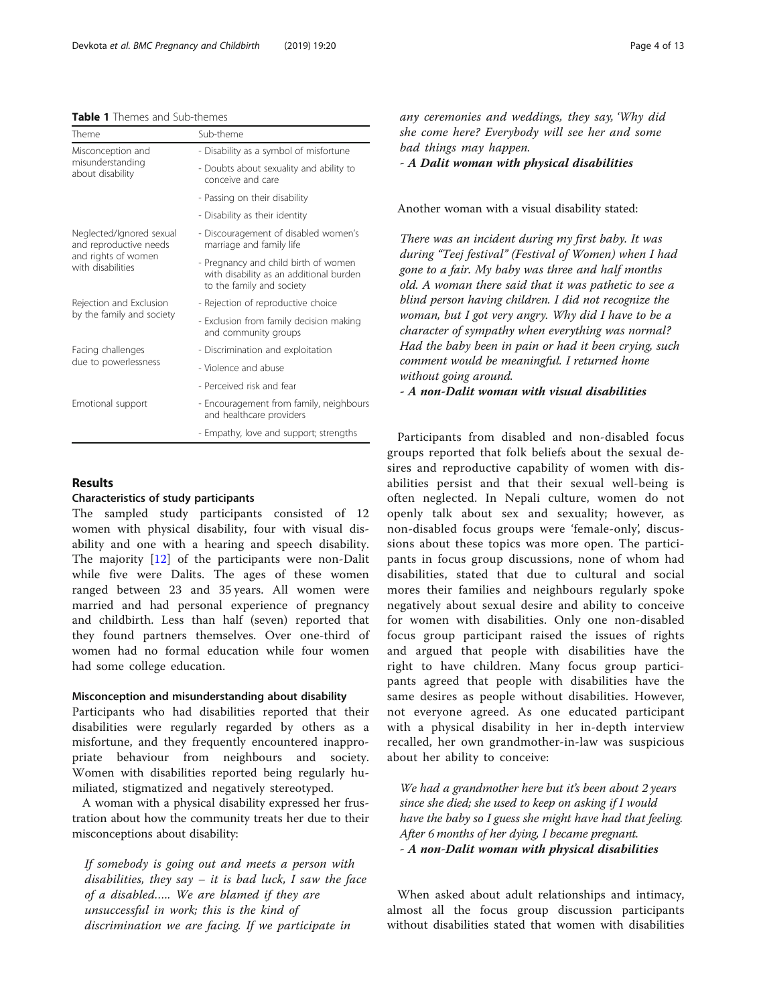## <span id="page-3-0"></span>Table 1 Themes and Sub-themes

| Theme                                                                                          | Sub-theme                                                                                                    |
|------------------------------------------------------------------------------------------------|--------------------------------------------------------------------------------------------------------------|
| Misconception and<br>misunderstanding<br>about disability                                      | - Disability as a symbol of misfortune                                                                       |
|                                                                                                | - Doubts about sexuality and ability to<br>conceive and care                                                 |
|                                                                                                | - Passing on their disability                                                                                |
|                                                                                                | - Disability as their identity                                                                               |
| Neglected/Ignored sexual<br>and reproductive needs<br>and rights of women<br>with disabilities | - Discouragement of disabled women's<br>marriage and family life                                             |
|                                                                                                | - Pregnancy and child birth of women<br>with disability as an additional burden<br>to the family and society |
| Rejection and Exclusion<br>by the family and society                                           | - Rejection of reproductive choice                                                                           |
|                                                                                                | - Exclusion from family decision making<br>and community groups                                              |
| Facing challenges<br>due to powerlessness                                                      | - Discrimination and exploitation                                                                            |
|                                                                                                | - Violence and abuse                                                                                         |
|                                                                                                | - Perceived risk and fear                                                                                    |
| Emotional support                                                                              | - Encouragement from family, neighbours<br>and healthcare providers                                          |
|                                                                                                | - Empathy, love and support; strengths                                                                       |

## **Results**

#### Characteristics of study participants

The sampled study participants consisted of 12 women with physical disability, four with visual disability and one with a hearing and speech disability. The majority [\[12](#page-11-0)] of the participants were non-Dalit while five were Dalits. The ages of these women ranged between 23 and 35 years. All women were married and had personal experience of pregnancy and childbirth. Less than half (seven) reported that they found partners themselves. Over one-third of women had no formal education while four women had some college education.

## Misconception and misunderstanding about disability

Participants who had disabilities reported that their disabilities were regularly regarded by others as a misfortune, and they frequently encountered inappropriate behaviour from neighbours and society. Women with disabilities reported being regularly humiliated, stigmatized and negatively stereotyped.

A woman with a physical disability expressed her frustration about how the community treats her due to their misconceptions about disability:

If somebody is going out and meets a person with disabilities, they say  $-$  it is bad luck, I saw the face of a disabled….. We are blamed if they are unsuccessful in work; this is the kind of discrimination we are facing. If we participate in

any ceremonies and weddings, they say, 'Why did she come here? Everybody will see her and some bad things may happen.

- A Dalit woman with physical disabilities

Another woman with a visual disability stated:

There was an incident during my first baby. It was during "Teej festival" (Festival of Women) when I had gone to a fair. My baby was three and half months old. A woman there said that it was pathetic to see a blind person having children. I did not recognize the woman, but I got very angry. Why did I have to be a character of sympathy when everything was normal? Had the baby been in pain or had it been crying, such comment would be meaningful. I returned home without going around.

- A non-Dalit woman with visual disabilities

Participants from disabled and non-disabled focus groups reported that folk beliefs about the sexual desires and reproductive capability of women with disabilities persist and that their sexual well-being is often neglected. In Nepali culture, women do not openly talk about sex and sexuality; however, as non-disabled focus groups were 'female-only', discussions about these topics was more open. The participants in focus group discussions, none of whom had disabilities, stated that due to cultural and social mores their families and neighbours regularly spoke negatively about sexual desire and ability to conceive for women with disabilities. Only one non-disabled focus group participant raised the issues of rights and argued that people with disabilities have the right to have children. Many focus group participants agreed that people with disabilities have the same desires as people without disabilities. However, not everyone agreed. As one educated participant with a physical disability in her in-depth interview recalled, her own grandmother-in-law was suspicious about her ability to conceive:

We had a grandmother here but it's been about 2 years since she died; she used to keep on asking if I would have the baby so I guess she might have had that feeling. After 6 months of her dying, I became pregnant. - A non-Dalit woman with physical disabilities

When asked about adult relationships and intimacy, almost all the focus group discussion participants without disabilities stated that women with disabilities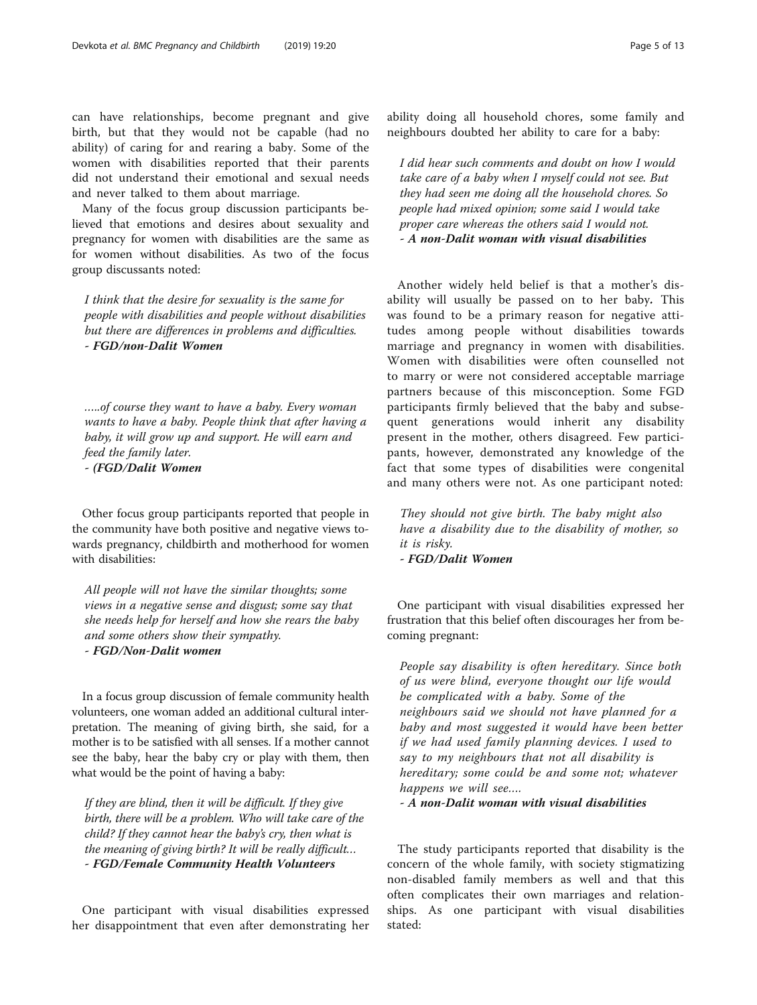can have relationships, become pregnant and give birth, but that they would not be capable (had no ability) of caring for and rearing a baby. Some of the women with disabilities reported that their parents did not understand their emotional and sexual needs and never talked to them about marriage.

Many of the focus group discussion participants believed that emotions and desires about sexuality and pregnancy for women with disabilities are the same as for women without disabilities. As two of the focus group discussants noted:

I think that the desire for sexuality is the same for people with disabilities and people without disabilities but there are differences in problems and difficulties. - FGD/non-Dalit Women

…..of course they want to have a baby. Every woman wants to have a baby. People think that after having a baby, it will grow up and support. He will earn and feed the family later. - (FGD/Dalit Women

Other focus group participants reported that people in the community have both positive and negative views towards pregnancy, childbirth and motherhood for women with disabilities:

All people will not have the similar thoughts; some views in a negative sense and disgust; some say that she needs help for herself and how she rears the baby and some others show their sympathy. - FGD/Non-Dalit women

In a focus group discussion of female community health volunteers, one woman added an additional cultural interpretation. The meaning of giving birth, she said, for a mother is to be satisfied with all senses. If a mother cannot see the baby, hear the baby cry or play with them, then what would be the point of having a baby:

If they are blind, then it will be difficult. If they give birth, there will be a problem. Who will take care of the child? If they cannot hear the baby's cry, then what is the meaning of giving birth? It will be really difficult… - FGD/Female Community Health Volunteers

One participant with visual disabilities expressed her disappointment that even after demonstrating her ability doing all household chores, some family and neighbours doubted her ability to care for a baby:

I did hear such comments and doubt on how I would take care of a baby when I myself could not see. But they had seen me doing all the household chores. So people had mixed opinion; some said I would take proper care whereas the others said I would not. - A non-Dalit woman with visual disabilities

Another widely held belief is that a mother's disability will usually be passed on to her baby. This was found to be a primary reason for negative attitudes among people without disabilities towards marriage and pregnancy in women with disabilities. Women with disabilities were often counselled not to marry or were not considered acceptable marriage partners because of this misconception. Some FGD participants firmly believed that the baby and subsequent generations would inherit any disability present in the mother, others disagreed. Few participants, however, demonstrated any knowledge of the fact that some types of disabilities were congenital and many others were not. As one participant noted:

They should not give birth. The baby might also have a disability due to the disability of mother, so it is risky.

- FGD/Dalit Women

One participant with visual disabilities expressed her frustration that this belief often discourages her from becoming pregnant:

People say disability is often hereditary. Since both of us were blind, everyone thought our life would be complicated with a baby. Some of the neighbours said we should not have planned for a baby and most suggested it would have been better if we had used family planning devices. I used to say to my neighbours that not all disability is hereditary; some could be and some not; whatever happens we will see....

- A non-Dalit woman with visual disabilities

The study participants reported that disability is the concern of the whole family, with society stigmatizing non-disabled family members as well and that this often complicates their own marriages and relationships. As one participant with visual disabilities stated: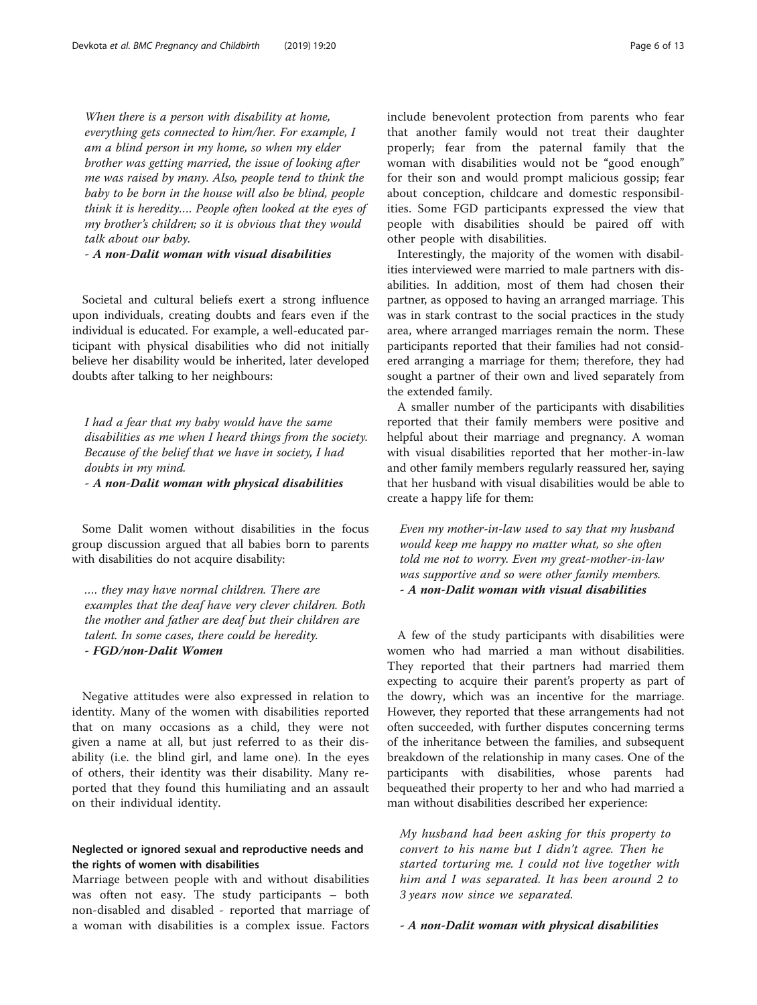When there is a person with disability at home, everything gets connected to him/her. For example, I am a blind person in my home, so when my elder brother was getting married, the issue of looking after me was raised by many. Also, people tend to think the baby to be born in the house will also be blind, people think it is heredity…. People often looked at the eyes of my brother's children; so it is obvious that they would talk about our baby.

- A non-Dalit woman with visual disabilities

Societal and cultural beliefs exert a strong influence upon individuals, creating doubts and fears even if the individual is educated. For example, a well-educated participant with physical disabilities who did not initially believe her disability would be inherited, later developed doubts after talking to her neighbours:

I had a fear that my baby would have the same disabilities as me when I heard things from the society. Because of the belief that we have in society, I had doubts in my mind. - A non-Dalit woman with physical disabilities

Some Dalit women without disabilities in the focus group discussion argued that all babies born to parents with disabilities do not acquire disability:

…. they may have normal children. There are examples that the deaf have very clever children. Both the mother and father are deaf but their children are talent. In some cases, there could be heredity. - FGD/non-Dalit Women

Negative attitudes were also expressed in relation to identity. Many of the women with disabilities reported that on many occasions as a child, they were not given a name at all, but just referred to as their disability (i.e. the blind girl, and lame one). In the eyes of others, their identity was their disability. Many reported that they found this humiliating and an assault on their individual identity.

## Neglected or ignored sexual and reproductive needs and the rights of women with disabilities

Marriage between people with and without disabilities was often not easy. The study participants – both non-disabled and disabled - reported that marriage of a woman with disabilities is a complex issue. Factors include benevolent protection from parents who fear that another family would not treat their daughter properly; fear from the paternal family that the woman with disabilities would not be "good enough" for their son and would prompt malicious gossip; fear about conception, childcare and domestic responsibilities. Some FGD participants expressed the view that people with disabilities should be paired off with other people with disabilities.

Interestingly, the majority of the women with disabilities interviewed were married to male partners with disabilities. In addition, most of them had chosen their partner, as opposed to having an arranged marriage. This was in stark contrast to the social practices in the study area, where arranged marriages remain the norm. These participants reported that their families had not considered arranging a marriage for them; therefore, they had sought a partner of their own and lived separately from the extended family.

A smaller number of the participants with disabilities reported that their family members were positive and helpful about their marriage and pregnancy. A woman with visual disabilities reported that her mother-in-law and other family members regularly reassured her, saying that her husband with visual disabilities would be able to create a happy life for them:

Even my mother-in-law used to say that my husband would keep me happy no matter what, so she often told me not to worry. Even my great-mother-in-law was supportive and so were other family members. - A non-Dalit woman with visual disabilities

A few of the study participants with disabilities were women who had married a man without disabilities. They reported that their partners had married them expecting to acquire their parent's property as part of the dowry, which was an incentive for the marriage. However, they reported that these arrangements had not often succeeded, with further disputes concerning terms of the inheritance between the families, and subsequent breakdown of the relationship in many cases. One of the participants with disabilities, whose parents had bequeathed their property to her and who had married a man without disabilities described her experience:

My husband had been asking for this property to convert to his name but I didn't agree. Then he started torturing me. I could not live together with him and I was separated. It has been around 2 to 3 years now since we separated.

#### - A non-Dalit woman with physical disabilities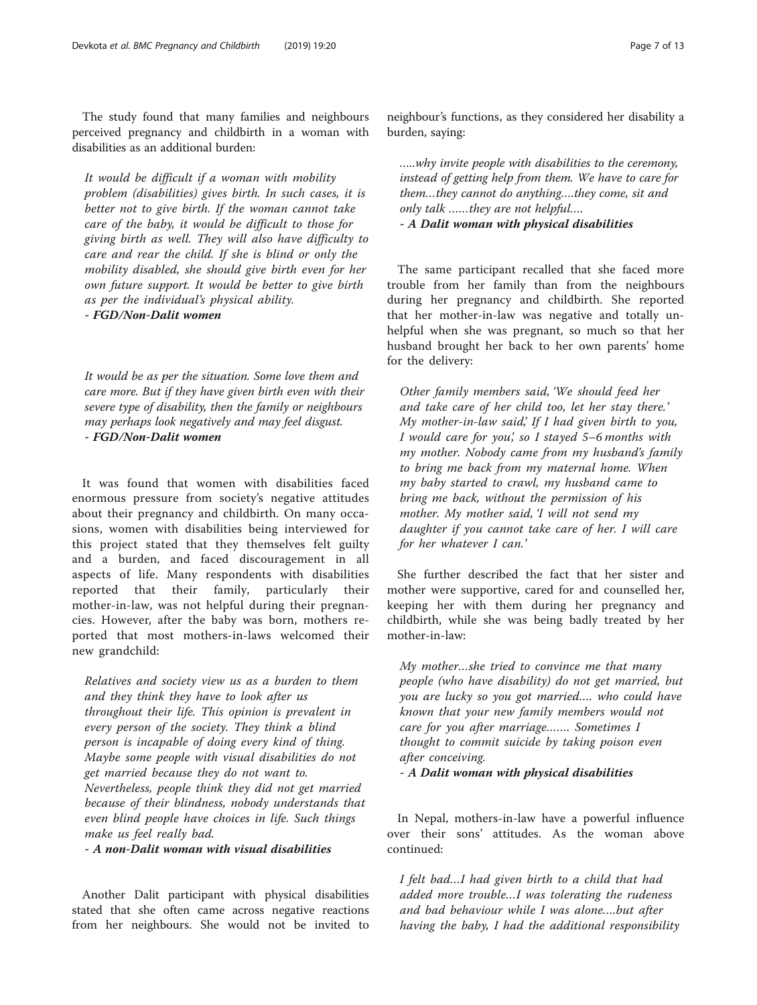The study found that many families and neighbours perceived pregnancy and childbirth in a woman with disabilities as an additional burden:

It would be difficult if a woman with mobility problem (disabilities) gives birth. In such cases, it is better not to give birth. If the woman cannot take care of the baby, it would be difficult to those for giving birth as well. They will also have difficulty to care and rear the child. If she is blind or only the mobility disabled, she should give birth even for her own future support. It would be better to give birth as per the individual's physical ability.

- FGD/Non-Dalit women

It would be as per the situation. Some love them and care more. But if they have given birth even with their severe type of disability, then the family or neighbours may perhaps look negatively and may feel disgust. - FGD/Non-Dalit women

It was found that women with disabilities faced enormous pressure from society's negative attitudes about their pregnancy and childbirth. On many occasions, women with disabilities being interviewed for this project stated that they themselves felt guilty and a burden, and faced discouragement in all aspects of life. Many respondents with disabilities reported that their family, particularly their mother-in-law, was not helpful during their pregnancies. However, after the baby was born, mothers reported that most mothers-in-laws welcomed their new grandchild:

Relatives and society view us as a burden to them and they think they have to look after us throughout their life. This opinion is prevalent in every person of the society. They think a blind person is incapable of doing every kind of thing. Maybe some people with visual disabilities do not get married because they do not want to. Nevertheless, people think they did not get married because of their blindness, nobody understands that even blind people have choices in life. Such things make us feel really bad.

- A non-Dalit woman with visual disabilities

Another Dalit participant with physical disabilities stated that she often came across negative reactions from her neighbours. She would not be invited to

neighbour's functions, as they considered her disability a burden, saying:

…..why invite people with disabilities to the ceremony, instead of getting help from them. We have to care for them…they cannot do anything….they come, sit and only talk ……they are not helpful…. - A Dalit woman with physical disabilities

The same participant recalled that she faced more trouble from her family than from the neighbours during her pregnancy and childbirth. She reported that her mother-in-law was negative and totally unhelpful when she was pregnant, so much so that her husband brought her back to her own parents' home for the delivery:

Other family members said, 'We should feed her and take care of her child too, let her stay there.' My mother-in-law said,' If I had given birth to you, I would care for you', so I stayed 5–6 months with my mother. Nobody came from my husband's family to bring me back from my maternal home. When my baby started to crawl, my husband came to bring me back, without the permission of his mother. My mother said, 'I will not send my daughter if you cannot take care of her. I will care for her whatever I can.'

She further described the fact that her sister and mother were supportive, cared for and counselled her, keeping her with them during her pregnancy and childbirth, while she was being badly treated by her mother-in-law:

My mother…she tried to convince me that many people (who have disability) do not get married, but you are lucky so you got married…. who could have known that your new family members would not care for you after marriage……. Sometimes I thought to commit suicide by taking poison even after conceiving.

- A Dalit woman with physical disabilities

In Nepal, mothers-in-law have a powerful influence over their sons' attitudes. As the woman above continued:

I felt bad…I had given birth to a child that had added more trouble…I was tolerating the rudeness and bad behaviour while I was alone….but after having the baby, I had the additional responsibility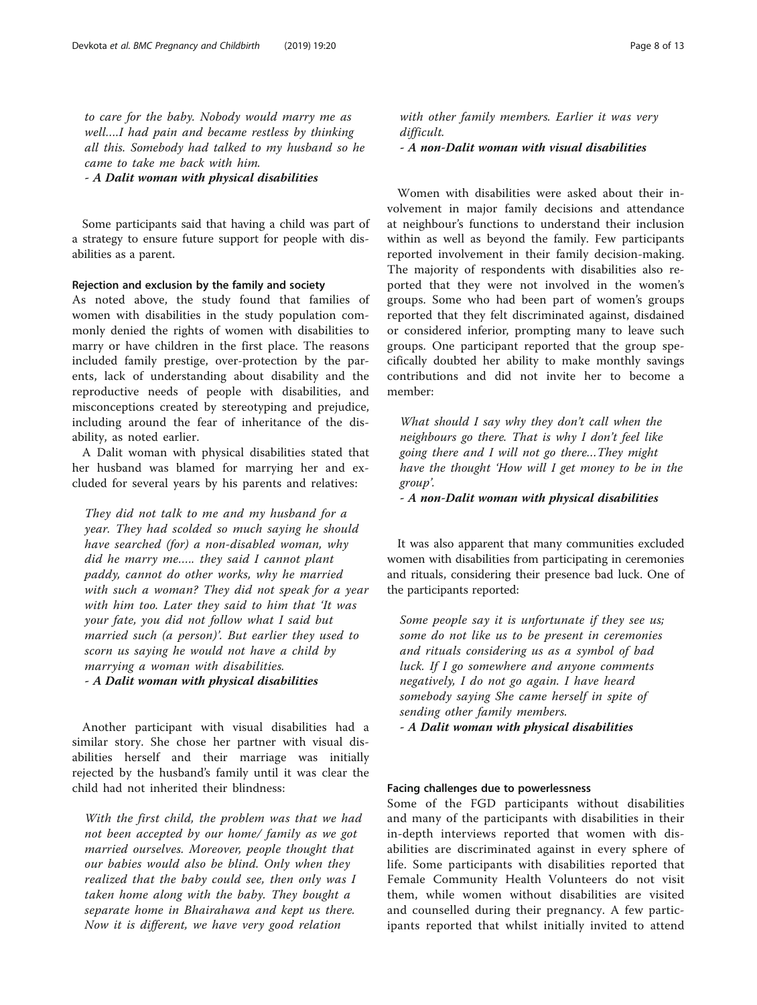to care for the baby. Nobody would marry me as well….I had pain and became restless by thinking all this. Somebody had talked to my husband so he came to take me back with him. - A Dalit woman with physical disabilities

Some participants said that having a child was part of a strategy to ensure future support for people with disabilities as a parent.

## Rejection and exclusion by the family and society

As noted above, the study found that families of women with disabilities in the study population commonly denied the rights of women with disabilities to marry or have children in the first place. The reasons included family prestige, over-protection by the parents, lack of understanding about disability and the reproductive needs of people with disabilities, and misconceptions created by stereotyping and prejudice, including around the fear of inheritance of the disability, as noted earlier.

A Dalit woman with physical disabilities stated that her husband was blamed for marrying her and excluded for several years by his parents and relatives:

They did not talk to me and my husband for a year. They had scolded so much saying he should have searched (for) a non-disabled woman, why did he marry me….. they said I cannot plant paddy, cannot do other works, why he married with such a woman? They did not speak for a year with him too. Later they said to him that 'It was your fate, you did not follow what I said but married such (a person)'. But earlier they used to scorn us saying he would not have a child by marrying a woman with disabilities. - A Dalit woman with physical disabilities

Another participant with visual disabilities had a similar story. She chose her partner with visual disabilities herself and their marriage was initially rejected by the husband's family until it was clear the child had not inherited their blindness:

With the first child, the problem was that we had not been accepted by our home/ family as we got married ourselves. Moreover, people thought that our babies would also be blind. Only when they realized that the baby could see, then only was I taken home along with the baby. They bought a separate home in Bhairahawa and kept us there. Now it is different, we have very good relation

with other family members. Earlier it was very difficult. - A non-Dalit woman with visual disabilities

Women with disabilities were asked about their involvement in major family decisions and attendance at neighbour's functions to understand their inclusion within as well as beyond the family. Few participants reported involvement in their family decision-making. The majority of respondents with disabilities also reported that they were not involved in the women's groups. Some who had been part of women's groups reported that they felt discriminated against, disdained or considered inferior, prompting many to leave such groups. One participant reported that the group specifically doubted her ability to make monthly savings contributions and did not invite her to become a member:

What should I say why they don't call when the neighbours go there. That is why I don't feel like going there and I will not go there…They might have the thought 'How will I get money to be in the group'.

- A non-Dalit woman with physical disabilities

It was also apparent that many communities excluded women with disabilities from participating in ceremonies and rituals, considering their presence bad luck. One of the participants reported:

Some people say it is unfortunate if they see us; some do not like us to be present in ceremonies and rituals considering us as a symbol of bad luck. If I go somewhere and anyone comments negatively, I do not go again. I have heard somebody saying She came herself in spite of sending other family members.

- A Dalit woman with physical disabilities

## Facing challenges due to powerlessness

Some of the FGD participants without disabilities and many of the participants with disabilities in their in-depth interviews reported that women with disabilities are discriminated against in every sphere of life. Some participants with disabilities reported that Female Community Health Volunteers do not visit them, while women without disabilities are visited and counselled during their pregnancy. A few participants reported that whilst initially invited to attend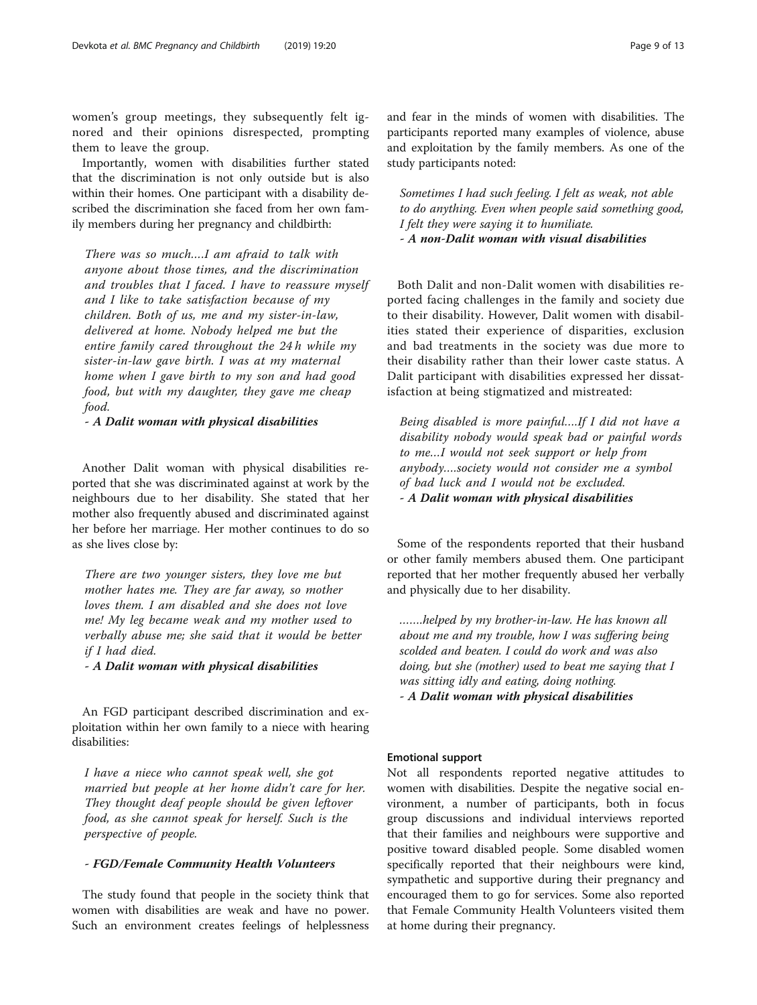women's group meetings, they subsequently felt ignored and their opinions disrespected, prompting them to leave the group.

Importantly, women with disabilities further stated that the discrimination is not only outside but is also within their homes. One participant with a disability described the discrimination she faced from her own family members during her pregnancy and childbirth:

There was so much….I am afraid to talk with anyone about those times, and the discrimination and troubles that I faced. I have to reassure myself and I like to take satisfaction because of my children. Both of us, me and my sister-in-law, delivered at home. Nobody helped me but the entire family cared throughout the 24 h while my sister-in-law gave birth. I was at my maternal home when I gave birth to my son and had good food, but with my daughter, they gave me cheap food.

- A Dalit woman with physical disabilities

Another Dalit woman with physical disabilities reported that she was discriminated against at work by the neighbours due to her disability. She stated that her mother also frequently abused and discriminated against her before her marriage. Her mother continues to do so as she lives close by:

There are two younger sisters, they love me but mother hates me. They are far away, so mother loves them. I am disabled and she does not love me! My leg became weak and my mother used to verbally abuse me; she said that it would be better if I had died.

- A Dalit woman with physical disabilities

An FGD participant described discrimination and exploitation within her own family to a niece with hearing disabilities:

I have a niece who cannot speak well, she got married but people at her home didn't care for her. They thought deaf people should be given leftover food, as she cannot speak for herself. Such is the perspective of people.

## - FGD/Female Community Health Volunteers

The study found that people in the society think that women with disabilities are weak and have no power. Such an environment creates feelings of helplessness

and fear in the minds of women with disabilities. The participants reported many examples of violence, abuse and exploitation by the family members. As one of the study participants noted:

Sometimes I had such feeling. I felt as weak, not able to do anything. Even when people said something good, I felt they were saying it to humiliate. - A non-Dalit woman with visual disabilities

Both Dalit and non-Dalit women with disabilities reported facing challenges in the family and society due to their disability. However, Dalit women with disabilities stated their experience of disparities, exclusion and bad treatments in the society was due more to their disability rather than their lower caste status. A Dalit participant with disabilities expressed her dissatisfaction at being stigmatized and mistreated:

Being disabled is more painful….If I did not have a disability nobody would speak bad or painful words to me…I would not seek support or help from anybody….society would not consider me a symbol of bad luck and I would not be excluded. - A Dalit woman with physical disabilities

Some of the respondents reported that their husband or other family members abused them. One participant reported that her mother frequently abused her verbally and physically due to her disability.

…….helped by my brother-in-law. He has known all about me and my trouble, how I was suffering being scolded and beaten. I could do work and was also doing, but she (mother) used to beat me saying that I was sitting idly and eating, doing nothing. - A Dalit woman with physical disabilities

## Emotional support

Not all respondents reported negative attitudes to women with disabilities. Despite the negative social environment, a number of participants, both in focus group discussions and individual interviews reported that their families and neighbours were supportive and positive toward disabled people. Some disabled women specifically reported that their neighbours were kind, sympathetic and supportive during their pregnancy and encouraged them to go for services. Some also reported that Female Community Health Volunteers visited them at home during their pregnancy.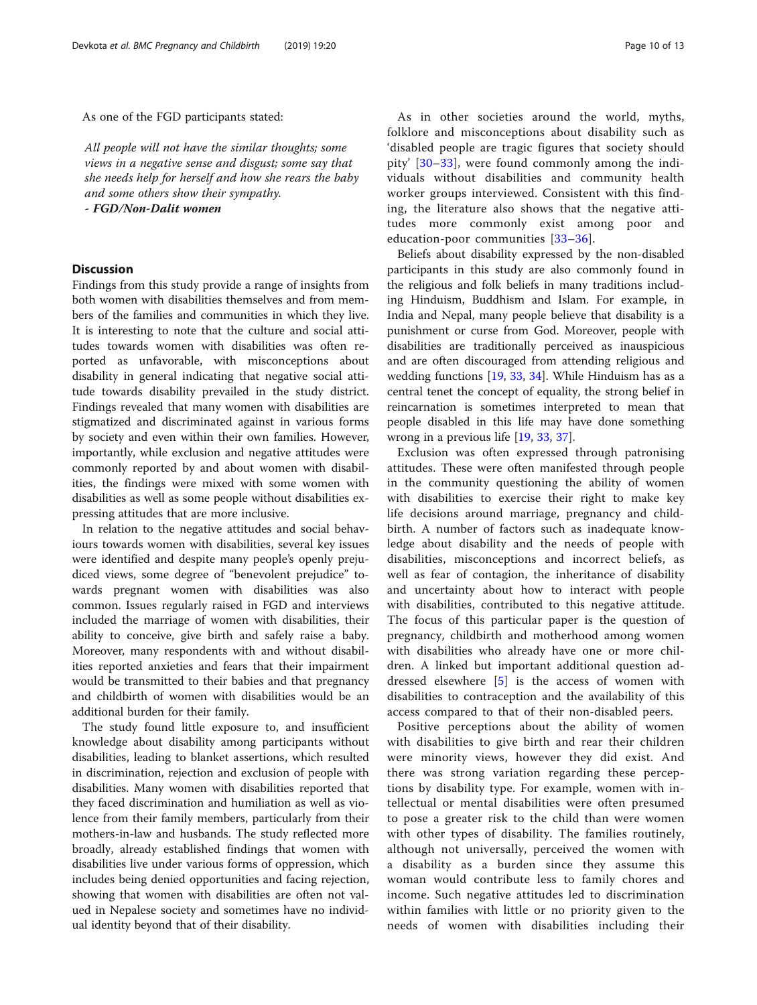As one of the FGD participants stated:

All people will not have the similar thoughts; some views in a negative sense and disgust; some say that she needs help for herself and how she rears the baby and some others show their sympathy. - FGD/Non-Dalit women

**Discussion** 

Findings from this study provide a range of insights from both women with disabilities themselves and from members of the families and communities in which they live. It is interesting to note that the culture and social attitudes towards women with disabilities was often reported as unfavorable, with misconceptions about disability in general indicating that negative social attitude towards disability prevailed in the study district. Findings revealed that many women with disabilities are stigmatized and discriminated against in various forms by society and even within their own families. However, importantly, while exclusion and negative attitudes were commonly reported by and about women with disabilities, the findings were mixed with some women with disabilities as well as some people without disabilities expressing attitudes that are more inclusive.

In relation to the negative attitudes and social behaviours towards women with disabilities, several key issues were identified and despite many people's openly prejudiced views, some degree of "benevolent prejudice" towards pregnant women with disabilities was also common. Issues regularly raised in FGD and interviews included the marriage of women with disabilities, their ability to conceive, give birth and safely raise a baby. Moreover, many respondents with and without disabilities reported anxieties and fears that their impairment would be transmitted to their babies and that pregnancy and childbirth of women with disabilities would be an additional burden for their family.

The study found little exposure to, and insufficient knowledge about disability among participants without disabilities, leading to blanket assertions, which resulted in discrimination, rejection and exclusion of people with disabilities. Many women with disabilities reported that they faced discrimination and humiliation as well as violence from their family members, particularly from their mothers-in-law and husbands. The study reflected more broadly, already established findings that women with disabilities live under various forms of oppression, which includes being denied opportunities and facing rejection, showing that women with disabilities are often not valued in Nepalese society and sometimes have no individual identity beyond that of their disability.

As in other societies around the world, myths, folklore and misconceptions about disability such as 'disabled people are tragic figures that society should pity' [\[30](#page-12-0)–[33\]](#page-12-0), were found commonly among the individuals without disabilities and community health worker groups interviewed. Consistent with this finding, the literature also shows that the negative attitudes more commonly exist among poor and education-poor communities [\[33](#page-12-0)–[36\]](#page-12-0).

Beliefs about disability expressed by the non-disabled participants in this study are also commonly found in the religious and folk beliefs in many traditions including Hinduism, Buddhism and Islam. For example, in India and Nepal, many people believe that disability is a punishment or curse from God. Moreover, people with disabilities are traditionally perceived as inauspicious and are often discouraged from attending religious and wedding functions [[19](#page-12-0), [33](#page-12-0), [34](#page-12-0)]. While Hinduism has as a central tenet the concept of equality, the strong belief in reincarnation is sometimes interpreted to mean that people disabled in this life may have done something wrong in a previous life [[19,](#page-12-0) [33,](#page-12-0) [37](#page-12-0)].

Exclusion was often expressed through patronising attitudes. These were often manifested through people in the community questioning the ability of women with disabilities to exercise their right to make key life decisions around marriage, pregnancy and childbirth. A number of factors such as inadequate knowledge about disability and the needs of people with disabilities, misconceptions and incorrect beliefs, as well as fear of contagion, the inheritance of disability and uncertainty about how to interact with people with disabilities, contributed to this negative attitude. The focus of this particular paper is the question of pregnancy, childbirth and motherhood among women with disabilities who already have one or more children. A linked but important additional question addressed elsewhere [[5\]](#page-11-0) is the access of women with disabilities to contraception and the availability of this access compared to that of their non-disabled peers.

Positive perceptions about the ability of women with disabilities to give birth and rear their children were minority views, however they did exist. And there was strong variation regarding these perceptions by disability type. For example, women with intellectual or mental disabilities were often presumed to pose a greater risk to the child than were women with other types of disability. The families routinely, although not universally, perceived the women with a disability as a burden since they assume this woman would contribute less to family chores and income. Such negative attitudes led to discrimination within families with little or no priority given to the needs of women with disabilities including their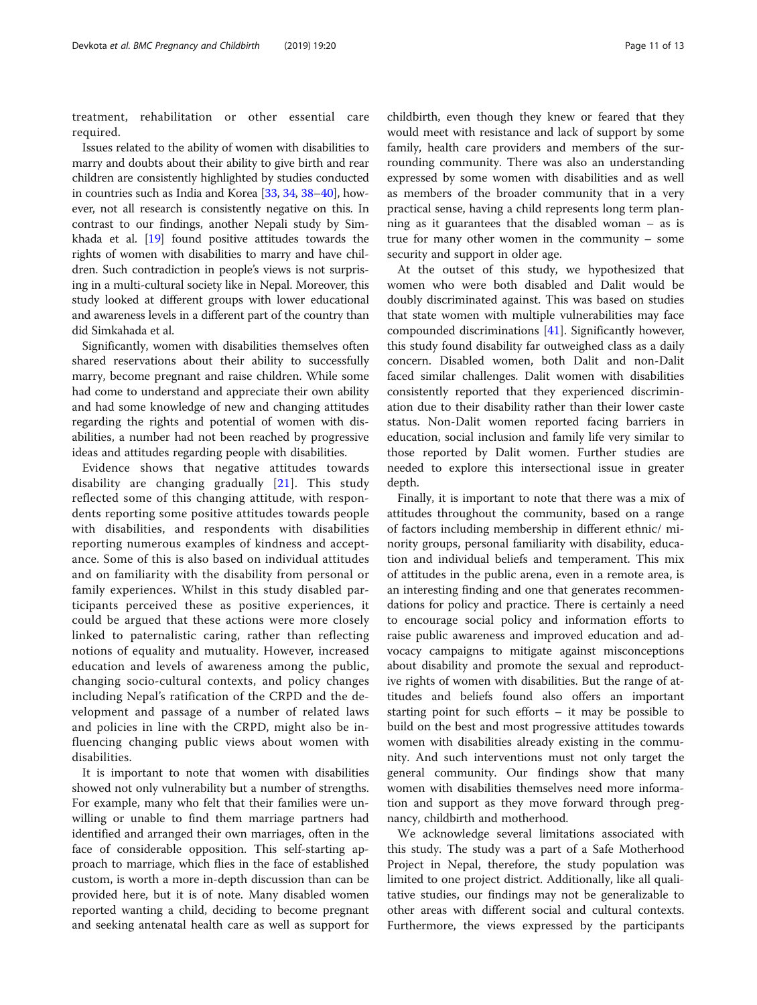treatment, rehabilitation or other essential care required.

Issues related to the ability of women with disabilities to marry and doubts about their ability to give birth and rear children are consistently highlighted by studies conducted in countries such as India and Korea [\[33](#page-12-0), [34](#page-12-0), [38](#page-12-0)–[40](#page-12-0)], however, not all research is consistently negative on this. In contrast to our findings, another Nepali study by Simkhada et al. [[19](#page-12-0)] found positive attitudes towards the rights of women with disabilities to marry and have children. Such contradiction in people's views is not surprising in a multi-cultural society like in Nepal. Moreover, this study looked at different groups with lower educational and awareness levels in a different part of the country than did Simkahada et al.

Significantly, women with disabilities themselves often shared reservations about their ability to successfully marry, become pregnant and raise children. While some had come to understand and appreciate their own ability and had some knowledge of new and changing attitudes regarding the rights and potential of women with disabilities, a number had not been reached by progressive ideas and attitudes regarding people with disabilities.

Evidence shows that negative attitudes towards disability are changing gradually [\[21\]](#page-12-0). This study reflected some of this changing attitude, with respondents reporting some positive attitudes towards people with disabilities, and respondents with disabilities reporting numerous examples of kindness and acceptance. Some of this is also based on individual attitudes and on familiarity with the disability from personal or family experiences. Whilst in this study disabled participants perceived these as positive experiences, it could be argued that these actions were more closely linked to paternalistic caring, rather than reflecting notions of equality and mutuality. However, increased education and levels of awareness among the public, changing socio-cultural contexts, and policy changes including Nepal's ratification of the CRPD and the development and passage of a number of related laws and policies in line with the CRPD, might also be influencing changing public views about women with disabilities.

It is important to note that women with disabilities showed not only vulnerability but a number of strengths. For example, many who felt that their families were unwilling or unable to find them marriage partners had identified and arranged their own marriages, often in the face of considerable opposition. This self-starting approach to marriage, which flies in the face of established custom, is worth a more in-depth discussion than can be provided here, but it is of note. Many disabled women reported wanting a child, deciding to become pregnant and seeking antenatal health care as well as support for childbirth, even though they knew or feared that they would meet with resistance and lack of support by some family, health care providers and members of the surrounding community. There was also an understanding expressed by some women with disabilities and as well as members of the broader community that in a very practical sense, having a child represents long term planning as it guarantees that the disabled woman – as is true for many other women in the community – some security and support in older age.

At the outset of this study, we hypothesized that women who were both disabled and Dalit would be doubly discriminated against. This was based on studies that state women with multiple vulnerabilities may face compounded discriminations [[41\]](#page-12-0). Significantly however, this study found disability far outweighed class as a daily concern. Disabled women, both Dalit and non-Dalit faced similar challenges. Dalit women with disabilities consistently reported that they experienced discrimination due to their disability rather than their lower caste status. Non-Dalit women reported facing barriers in education, social inclusion and family life very similar to those reported by Dalit women. Further studies are needed to explore this intersectional issue in greater depth.

Finally, it is important to note that there was a mix of attitudes throughout the community, based on a range of factors including membership in different ethnic/ minority groups, personal familiarity with disability, education and individual beliefs and temperament. This mix of attitudes in the public arena, even in a remote area, is an interesting finding and one that generates recommendations for policy and practice. There is certainly a need to encourage social policy and information efforts to raise public awareness and improved education and advocacy campaigns to mitigate against misconceptions about disability and promote the sexual and reproductive rights of women with disabilities. But the range of attitudes and beliefs found also offers an important starting point for such efforts – it may be possible to build on the best and most progressive attitudes towards women with disabilities already existing in the community. And such interventions must not only target the general community. Our findings show that many women with disabilities themselves need more information and support as they move forward through pregnancy, childbirth and motherhood.

We acknowledge several limitations associated with this study. The study was a part of a Safe Motherhood Project in Nepal, therefore, the study population was limited to one project district. Additionally, like all qualitative studies, our findings may not be generalizable to other areas with different social and cultural contexts. Furthermore, the views expressed by the participants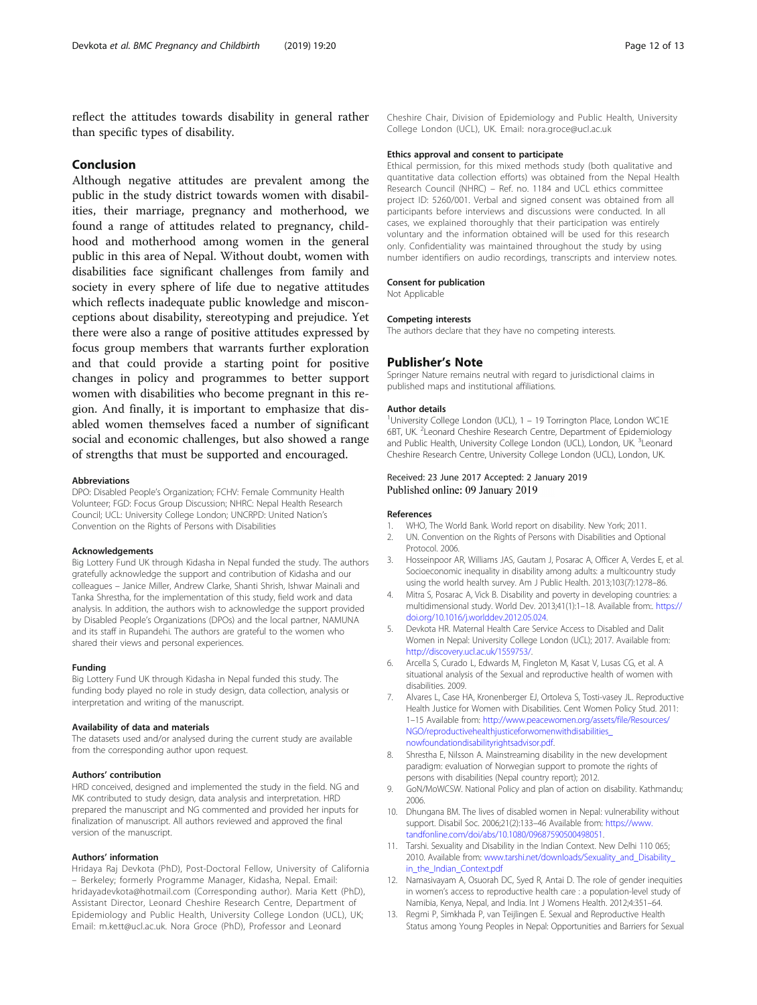<span id="page-11-0"></span>reflect the attitudes towards disability in general rather than specific types of disability.

## Conclusion

Although negative attitudes are prevalent among the public in the study district towards women with disabilities, their marriage, pregnancy and motherhood, we found a range of attitudes related to pregnancy, childhood and motherhood among women in the general public in this area of Nepal. Without doubt, women with disabilities face significant challenges from family and society in every sphere of life due to negative attitudes which reflects inadequate public knowledge and misconceptions about disability, stereotyping and prejudice. Yet there were also a range of positive attitudes expressed by focus group members that warrants further exploration and that could provide a starting point for positive changes in policy and programmes to better support women with disabilities who become pregnant in this region. And finally, it is important to emphasize that disabled women themselves faced a number of significant social and economic challenges, but also showed a range of strengths that must be supported and encouraged.

#### Abbreviations

DPO: Disabled People's Organization; FCHV: Female Community Health Volunteer; FGD: Focus Group Discussion; NHRC: Nepal Health Research Council; UCL: University College London; UNCRPD: United Nation's Convention on the Rights of Persons with Disabilities

#### Acknowledgements

Big Lottery Fund UK through Kidasha in Nepal funded the study. The authors gratefully acknowledge the support and contribution of Kidasha and our colleagues – Janice Miller, Andrew Clarke, Shanti Shrish, Ishwar Mainali and Tanka Shrestha, for the implementation of this study, field work and data analysis. In addition, the authors wish to acknowledge the support provided by Disabled People's Organizations (DPOs) and the local partner, NAMUNA and its staff in Rupandehi. The authors are grateful to the women who shared their views and personal experiences.

#### Funding

Big Lottery Fund UK through Kidasha in Nepal funded this study. The funding body played no role in study design, data collection, analysis or interpretation and writing of the manuscript.

#### Availability of data and materials

The datasets used and/or analysed during the current study are available from the corresponding author upon request.

#### Authors' contribution

HRD conceived, designed and implemented the study in the field. NG and MK contributed to study design, data analysis and interpretation. HRD prepared the manuscript and NG commented and provided her inputs for finalization of manuscript. All authors reviewed and approved the final version of the manuscript.

#### Authors' information

Hridaya Raj Devkota (PhD), Post-Doctoral Fellow, University of California – Berkeley; formerly Programme Manager, Kidasha, Nepal. Email: hridayadevkota@hotmail.com (Corresponding author). Maria Kett (PhD), Assistant Director, Leonard Cheshire Research Centre, Department of Epidemiology and Public Health, University College London (UCL), UK; Email: m.kett@ucl.ac.uk. Nora Groce (PhD), Professor and Leonard

Cheshire Chair, Division of Epidemiology and Public Health, University College London (UCL), UK. Email: nora.groce@ucl.ac.uk

#### Ethics approval and consent to participate

Ethical permission, for this mixed methods study (both qualitative and quantitative data collection efforts) was obtained from the Nepal Health Research Council (NHRC) – Ref. no. 1184 and UCL ethics committee project ID: 5260/001. Verbal and signed consent was obtained from all participants before interviews and discussions were conducted. In all cases, we explained thoroughly that their participation was entirely voluntary and the information obtained will be used for this research only. Confidentiality was maintained throughout the study by using number identifiers on audio recordings, transcripts and interview notes.

#### Consent for publication

Not Applicable

#### Competing interests

The authors declare that they have no competing interests.

## Publisher's Note

Springer Nature remains neutral with regard to jurisdictional claims in published maps and institutional affiliations.

#### Author details

<sup>1</sup>University College London (UCL), 1 - 19 Torrington Place, London WC1E 6BT, UK. <sup>2</sup> Leonard Cheshire Research Centre, Department of Epidemiology and Public Health, University College London (UCL), London, UK. <sup>3</sup>Leonard Cheshire Research Centre, University College London (UCL), London, UK.

#### Received: 23 June 2017 Accepted: 2 January 2019 Published online: 09 January 2019

#### References

- 1. WHO, The World Bank. World report on disability. New York; 2011.
- 2. UN. Convention on the Rights of Persons with Disabilities and Optional Protocol. 2006.
- 3. Hosseinpoor AR, Williams JAS, Gautam J, Posarac A, Officer A, Verdes E, et al. Socioeconomic inequality in disability among adults: a multicountry study using the world health survey. Am J Public Health. 2013;103(7):1278–86.
- 4. Mitra S, Posarac A, Vick B. Disability and poverty in developing countries: a multidimensional study. World Dev. 2013;41(1):1–18. Available from:. [https://](https://doi.org/10.1016/j.worlddev.2012.05.024) [doi.org/10.1016/j.worlddev.2012.05.024](https://doi.org/10.1016/j.worlddev.2012.05.024).
- 5. Devkota HR. Maternal Health Care Service Access to Disabled and Dalit Women in Nepal: University College London (UCL); 2017. Available from: <http://discovery.ucl.ac.uk/1559753/>.
- 6. Arcella S, Curado L, Edwards M, Fingleton M, Kasat V, Lusas CG, et al. A situational analysis of the Sexual and reproductive health of women with disabilities. 2009.
- 7. Alvares L, Case HA, Kronenberger EJ, Ortoleva S, Tosti-vasey JL. Reproductive Health Justice for Women with Disabilities. Cent Women Policy Stud. 2011: 1–15 Available from: [http://www.peacewomen.org/assets/file/Resources/](http://www.peacewomen.org/assets/file/Resources/NGO/reproductivehealthjusticeforwomenwithdisabilities_nowfoundationdisabilityrightsadvisor.pdf) [NGO/reproductivehealthjusticeforwomenwithdisabilities\\_](http://www.peacewomen.org/assets/file/Resources/NGO/reproductivehealthjusticeforwomenwithdisabilities_nowfoundationdisabilityrightsadvisor.pdf) [nowfoundationdisabilityrightsadvisor.pdf](http://www.peacewomen.org/assets/file/Resources/NGO/reproductivehealthjusticeforwomenwithdisabilities_nowfoundationdisabilityrightsadvisor.pdf).
- 8. Shrestha E, Nilsson A. Mainstreaming disability in the new development paradigm: evaluation of Norwegian support to promote the rights of persons with disabilities (Nepal country report); 2012.
- 9. GoN/MoWCSW. National Policy and plan of action on disability. Kathmandu; 2006.
- 10. Dhungana BM. The lives of disabled women in Nepal: vulnerability without support. Disabil Soc. 2006;21(2):133–46 Available from: [https://www.](https://www.tandfonline.com/doi/abs/10.1080/09687590500498051) [tandfonline.com/doi/abs/10.1080/09687590500498051](https://www.tandfonline.com/doi/abs/10.1080/09687590500498051).
- 11. Tarshi. Sexuality and Disability in the Indian Context. New Delhi 110 065; 2010. Available from: [www.tarshi.net/downloads/Sexuality\\_and\\_Disability\\_](http://www.tarshi.net/downloads/Sexuality_and_Disability_in_the_Indian_Context.pdf) [in\\_the\\_Indian\\_Context.pdf](http://www.tarshi.net/downloads/Sexuality_and_Disability_in_the_Indian_Context.pdf)
- 12. Namasivayam A, Osuorah DC, Syed R, Antai D. The role of gender inequities in women's access to reproductive health care : a population-level study of Namibia, Kenya, Nepal, and India. Int J Womens Health. 2012;4:351–64.
- 13. Regmi P, Simkhada P, van Teijlingen E. Sexual and Reproductive Health Status among Young Peoples in Nepal: Opportunities and Barriers for Sexual